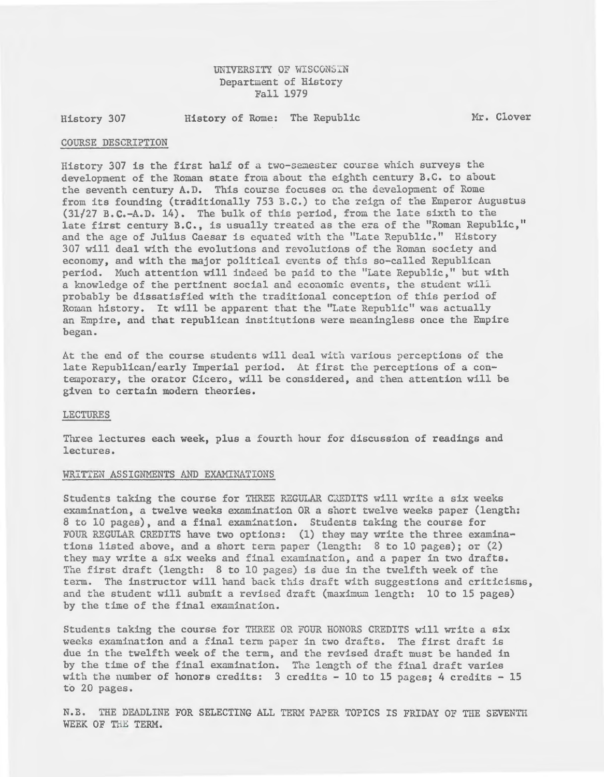# UNIVERSITY OF WISCONSIN Department of History Fall 1979

History 307

History of Rome: The Republic Mr. Clover

#### COURSE DESCRIPTION

History 307 is the first half of a two-semester course which surveys the development of the Roman state from about the eighth century B.C. to about the seventh century A.D. This course focuses on the development of Rome from its founding (traditionally 753 B.C.) to the reign of the Emperor Augustus  $(31/27 B.C.-A.D. 14)$ . The bulk of this period, from the late sixth to the late first century B.C., is usually treated as the era of the "Roman Republic," and the age of Julius Caesar is equated with the "Late Republic." History 307 will deal with the evolutions and revolutions of the Roman society and economy, and with the major political events of this so-called Republican period. Much attention will indeed be paid to the "Late Republic," but with a knowledge of the pertinent social and economic events, the student wili probably be dissatisfied with the traditional conception of this period of Roman history. It will be apparent that the "Late Republic" was actually an Empire, and that republican institutions were meaningless once the Empire began.

At the end of the course students will deal with various perceptions of the late Republican/early Imperial period. At first the perceptions of a contemporary, the orator Cicero, will be considered, and then attention will be given to certain modern theories.

#### LECTURES

Three lectures each week, plus a fourth hour for discussion of readings and lectures.

#### WRITTEN ASSIGNMENTS AND EXAMINATIONS

Students taking the course for THREE RZGULAR CREDITS will write a six weeks examination, a twelve weeks examination OR a short twelve weeks paper (length: 8 to 10 pages), and a final examination. Students taking the course for FOUR REGULAR CREDITS have two options: (1) they may write the three examinations listed above, and a short term paper (length:  $8$  to 10 pages); or (2) they may write a six weeks and final examination, and a paper in two drafts. The first draft (length:  $8$  to 10 pages) is due in the twelfth week of the term. The instructor will hand back this draft with suggestions and criticisms, and the student will submit a revised draft (maximum length: 10 to 15 pages) by the time of the final examination.

Students taking the course for THREE OR FOUR HONORS CREDITS will write a six weeks examination and a final term paper in two drafts. The first draft is due in the twelfth week of the term, and the revised draft must be handed in by the time of the final examination. The length of the final draft varies with the number of honors credits:  $3$  credits - 10 to 15 pages; 4 credits - 15 to 20 pages.

N.B. THE DEADLINE FOR SELECTING ALL TERM PAPER TOPICS IS FRIDAY OF THE SEVENTH WEEK OF THE TERM.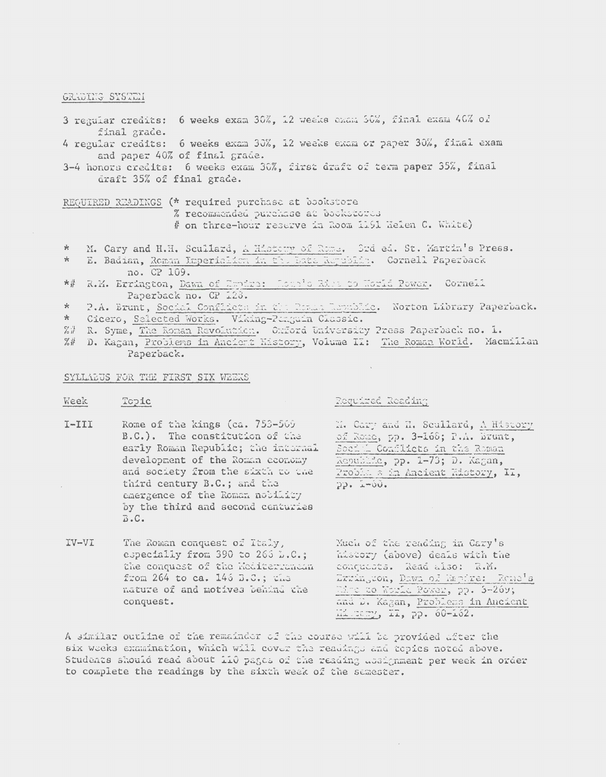#### GRADING SYSTEM

- 3 regular credits: 6 weeks exam 30%, 12 weeks exam 30%, final exam 40% of final grade.
- 4 regular credits: 6 weeks exam 30%, 12 weeks exam or paper 30%, final exam and paper 40% of final grade.
- 3-4 honors credits: 6 weeks exam 30%, first draft of term paper 35%, final draft 35% of final grade.

REQUIRED READINGS (\* required purchase at bookstore

- % recommended purchase at bookstowes
	- # on three-hour reserve in Room 1191 Helen C. White)
- M. Cary and H.H. Scullard, A History of Rome. Srd ed. St. Martin's Press.  $\ast$
- E. Badian, Roman Umperialien in the Lata Republic. Cornell Paperback  $\frac{1}{\sqrt{6}}$ no. CP 109.
- \*# R.M. Errington, Dawn of Empire: Loue's Ries to Horld Power. Cornell Paperback no. CP 123.

P.A. Erunt, Social Conflicts in the Reman Republic. Norton Library Paperback.  $\star$ 

- $*$ Cicero, Selected Works. Viking-Ranguin Classic.
- %# R. Syme, The Roman Revolution. Oxford University Press Paperback no. 1.
- D. Kagan, Problems in Ancient History, Volume II: The Roman World. Macmillan  $Z#$ Paperback.

### SYLLABUS FOR THE FIRST SIX WEEKS

Week Topic

# Required Roading

 $I-TII$ Rome of the kings (ca. 753-569) B.C.). The constitution of the early Roman Republic; the internal development of the Roman economy and society from the sixth to the third century B.C.; and the emergence of the Roman nobility by the third and second centuries  $B$ .C.

M. Cary and H. Scullard, A History of Rome, pp. 3-168; P.A. Brunt, Social Conflicts in the Roman Republic, pp. 1-73; D. Kagan, Probla s in Ancient History, II,  $22.7 - 00.$ 

IV-VI The Roman conquest of Italy, Much of the reading in Cary's especially from 390 to 265 L.C.; history (above) deals with the the conquest of the Mediterranean conquests. Read also: R.M. from 264 to ca. 146 B.C.; the Exsington, Dawn of Empire: Rome's nature of and motives behind the Mine do World Rower, pp. 3-269; and D. Kagan, Problems in Ancient conquest. Mistery, MI, pp. 60-162.

A similar outline of the remainder of the course will be provided after the six weeks examination, which will cover the readings and topics noted above. Students should read about 110 pages of the reading ussignment per week in order to complete the readings by the sixth week of the semester.